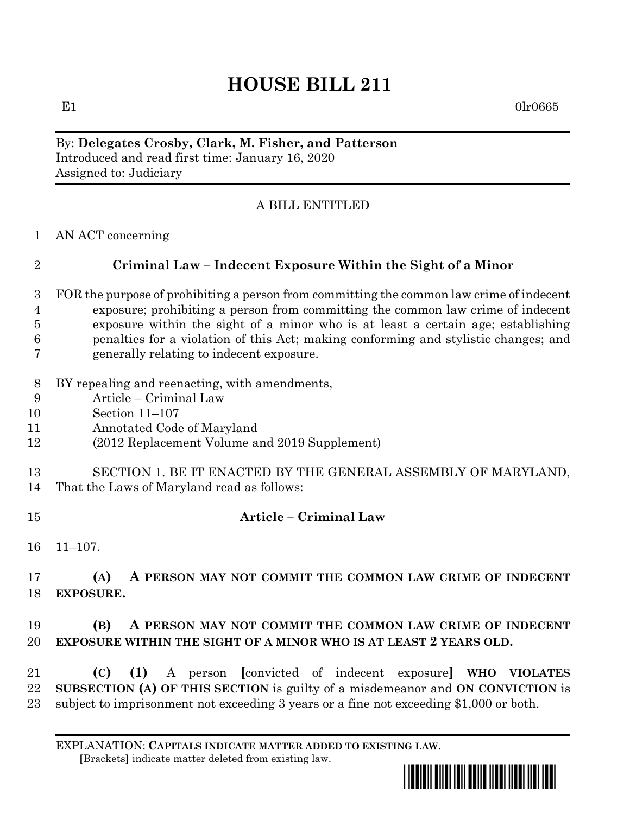# **HOUSE BILL 211**

E1  $0\text{l}r0665$ 

#### By: **Delegates Crosby, Clark, M. Fisher, and Patterson** Introduced and read first time: January 16, 2020 Assigned to: Judiciary

## A BILL ENTITLED

AN ACT concerning

## **Criminal Law – Indecent Exposure Within the Sight of a Minor**

- FOR the purpose of prohibiting a person from committing the common law crime of indecent exposure; prohibiting a person from committing the common law crime of indecent exposure within the sight of a minor who is at least a certain age; establishing penalties for a violation of this Act; making conforming and stylistic changes; and generally relating to indecent exposure.
- BY repealing and reenacting, with amendments,
- Article Criminal Law
- Section 11–107
- Annotated Code of Maryland
- (2012 Replacement Volume and 2019 Supplement)
- SECTION 1. BE IT ENACTED BY THE GENERAL ASSEMBLY OF MARYLAND,
- That the Laws of Maryland read as follows:
- **Article – Criminal Law**
- 11–107.

 **(A) A PERSON MAY NOT COMMIT THE COMMON LAW CRIME OF INDECENT EXPOSURE.**

## **(B) A PERSON MAY NOT COMMIT THE COMMON LAW CRIME OF INDECENT EXPOSURE WITHIN THE SIGHT OF A MINOR WHO IS AT LEAST 2 YEARS OLD.**

 **(C) (1)** A person **[**convicted of indecent exposure**] WHO VIOLATES SUBSECTION (A) OF THIS SECTION** is guilty of a misdemeanor and **ON CONVICTION** is subject to imprisonment not exceeding 3 years or a fine not exceeding \$1,000 or both.